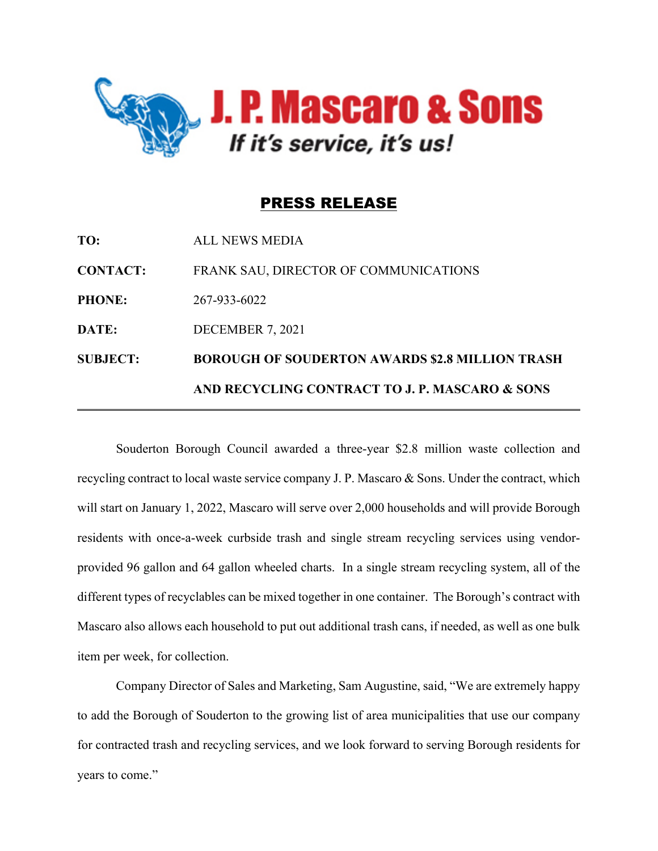

## PRESS RELEASE

|                 | AND RECYCLING CONTRACT TO J. P. MASCARO & SONS         |
|-----------------|--------------------------------------------------------|
| <b>SUBJECT:</b> | <b>BOROUGH OF SOUDERTON AWARDS \$2.8 MILLION TRASH</b> |
| DATE:           | DECEMBER 7, 2021                                       |
| <b>PHONE:</b>   | 267-933-6022                                           |
| <b>CONTACT:</b> | FRANK SAU, DIRECTOR OF COMMUNICATIONS                  |
| TO:             | ALL NEWS MEDIA                                         |

Souderton Borough Council awarded a three-year \$2.8 million waste collection and recycling contract to local waste service company J. P. Mascaro & Sons. Under the contract, which will start on January 1, 2022, Mascaro will serve over 2,000 households and will provide Borough residents with once-a-week curbside trash and single stream recycling services using vendorprovided 96 gallon and 64 gallon wheeled charts. In a single stream recycling system, all of the different types of recyclables can be mixed together in one container. The Borough's contract with Mascaro also allows each household to put out additional trash cans, if needed, as well as one bulk item per week, for collection.

Company Director of Sales and Marketing, Sam Augustine, said, "We are extremely happy to add the Borough of Souderton to the growing list of area municipalities that use our company for contracted trash and recycling services, and we look forward to serving Borough residents for years to come."